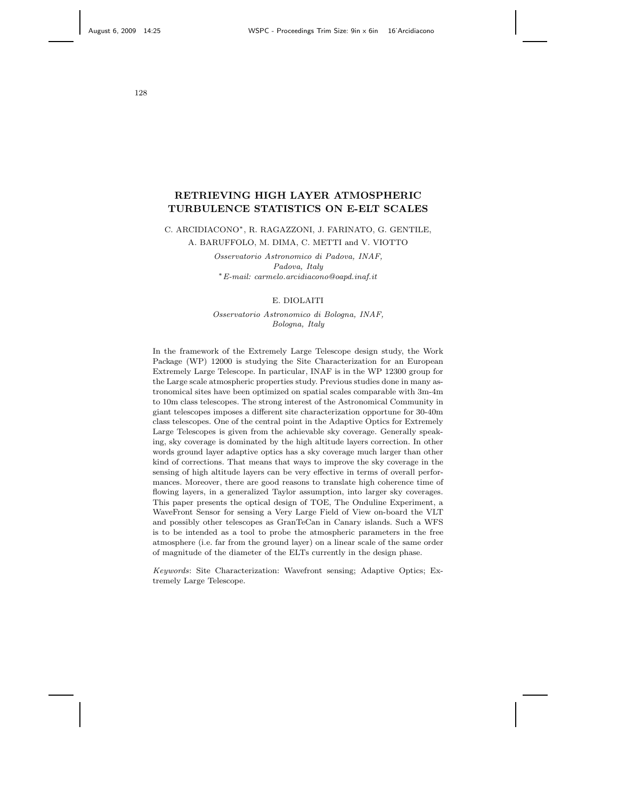# **RETRIEVING HIGH LAYER ATMOSPHERIC TURBULENCE STATISTICS ON E-ELT SCALES**

C. ARCIDIACONO∗, R. RAGAZZONI, J. FARINATO, G. GENTILE, A. BARUFFOLO, M. DIMA, C. METTI and V. VIOTTO

> *Osservatorio Astronomico di Padova, INAF, Padova, Italy* ∗*E-mail: carmelo.arcidiacono@oapd.inaf.it*

#### E. DIOLAITI

*Osservatorio Astronomico di Bologna, INAF, Bologna, Italy*

In the framework of the Extremely Large Telescope design study, the Work Package (WP) 12000 is studying the Site Characterization for an European Extremely Large Telescope. In particular, INAF is in the WP 12300 group for the Large scale atmospheric properties study. Previous studies done in many astronomical sites have been optimized on spatial scales comparable with 3m-4m to 10m class telescopes. The strong interest of the Astronomical Community in giant telescopes imposes a different site characterization opportune for 30-40m class telescopes. One of the central point in the Adaptive Optics for Extremely Large Telescopes is given from the achievable sky coverage. Generally speaking, sky coverage is dominated by the high altitude layers correction. In other words ground layer adaptive optics has a sky coverage much larger than other kind of corrections. That means that ways to improve the sky coverage in the sensing of high altitude layers can be very effective in terms of overall performances. Moreover, there are good reasons to translate high coherence time of flowing layers, in a generalized Taylor assumption, into larger sky coverages. This paper presents the optical design of TOE, The Onduline Experiment, a WaveFront Sensor for sensing a Very Large Field of View on-board the VLT and possibly other telescopes as GranTeCan in Canary islands. Such a WFS is to be intended as a tool to probe the atmospheric parameters in the free atmosphere (i.e. far from the ground layer) on a linear scale of the same order of magnitude of the diameter of the ELTs currently in the design phase.

*Keywords*: Site Characterization: Wavefront sensing; Adaptive Optics; Extremely Large Telescope.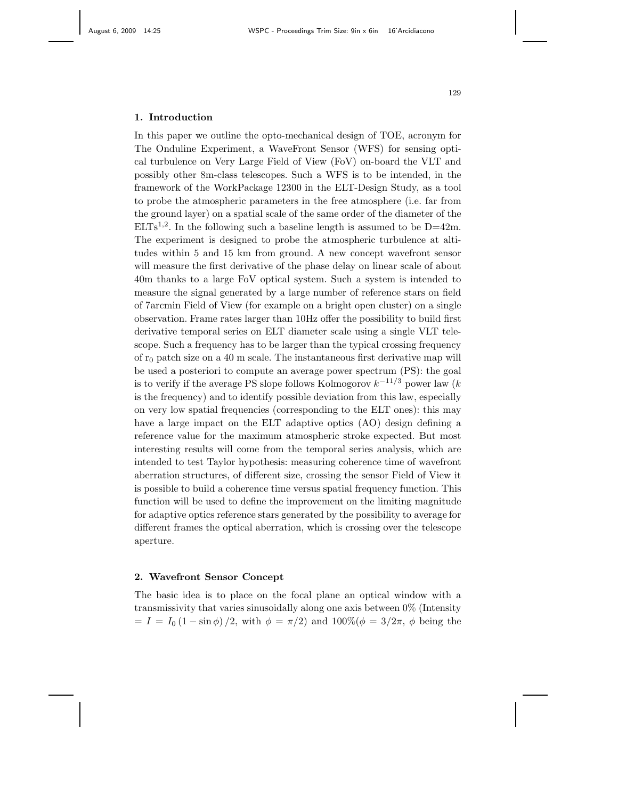#### **1. Introduction**

In this paper we outline the opto-mechanical design of TOE, acronym for The Onduline Experiment, a WaveFront Sensor (WFS) for sensing optical turbulence on Very Large Field of View (FoV) on-board the VLT and possibly other 8m-class telescopes. Such a WFS is to be intended, in the framework of the WorkPackage 12300 in the ELT-Design Study, as a tool to probe the atmospheric parameters in the free atmosphere (i.e. far from the ground layer) on a spatial scale of the same order of the diameter of the  $ELTs<sup>1,2</sup>$ . In the following such a baseline length is assumed to be  $D=42m$ . The experiment is designed to probe the atmospheric turbulence at altitudes within 5 and 15 km from ground. A new concept wavefront sensor will measure the first derivative of the phase delay on linear scale of about 40m thanks to a large FoV optical system. Such a system is intended to measure the signal generated by a large number of reference stars on field of 7arcmin Field of View (for example on a bright open cluster) on a single observation. Frame rates larger than 10Hz offer the possibility to build first derivative temporal series on ELT diameter scale using a single VLT telescope. Such a frequency has to be larger than the typical crossing frequency of  $r_0$  patch size on a 40 m scale. The instantaneous first derivative map will be used a posteriori to compute an average power spectrum (PS): the goal is to verify if the average PS slope follows Kolmogorov  $k^{-1/3}$  power law (k is the frequency) and to identify possible deviation from this law, especially on very low spatial frequencies (corresponding to the ELT ones): this may have a large impact on the ELT adaptive optics (AO) design defining a reference value for the maximum atmospheric stroke expected. But most interesting results will come from the temporal series analysis, which are intended to test Taylor hypothesis: measuring coherence time of wavefront aberration structures, of different size, crossing the sensor Field of View it is possible to build a coherence time versus spatial frequency function. This function will be used to define the improvement on the limiting magnitude for adaptive optics reference stars generated by the possibility to average for different frames the optical aberration, which is crossing over the telescope aperture.

# **2. Wavefront Sensor Concept**

The basic idea is to place on the focal plane an optical window with a transmissivity that varies sinusoidally along one axis between 0% (Intensity  $= I = I_0 (1 - \sin \phi)/2$ , with  $\phi = \pi/2$  and  $100\% (\phi = 3/2\pi, \phi)$  being the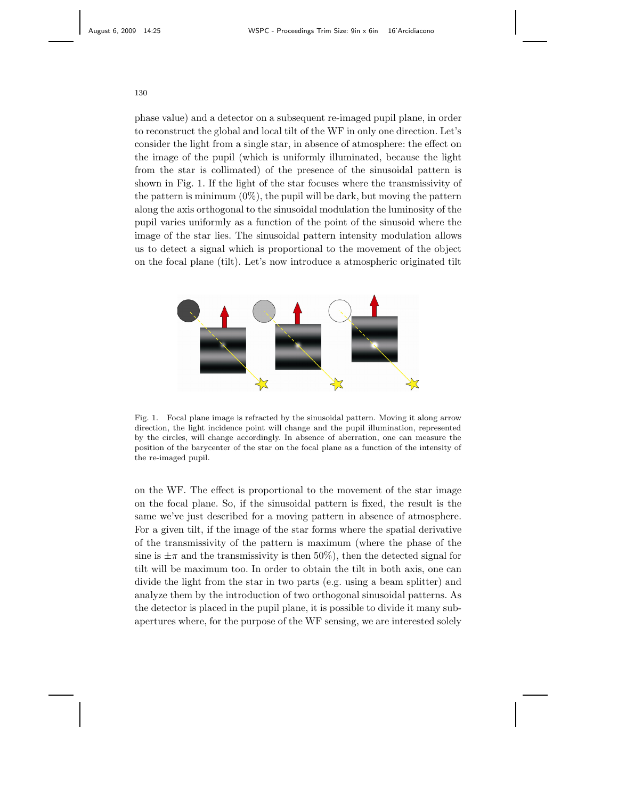phase value) and a detector on a subsequent re-imaged pupil plane, in order to reconstruct the global and local tilt of the WF in only one direction. Let's consider the light from a single star, in absence of atmosphere: the effect on the image of the pupil (which is uniformly illuminated, because the light from the star is collimated) of the presence of the sinusoidal pattern is shown in Fig. 1. If the light of the star focuses where the transmissivity of the pattern is minimum  $(0\%)$ , the pupil will be dark, but moving the pattern along the axis orthogonal to the sinusoidal modulation the luminosity of the pupil varies uniformly as a function of the point of the sinusoid where the image of the star lies. The sinusoidal pattern intensity modulation allows us to detect a signal which is proportional to the movement of the object on the focal plane (tilt). Let's now introduce a atmospheric originated tilt



Fig. 1. Focal plane image is refracted by the sinusoidal pattern. Moving it along arrow direction, the light incidence point will change and the pupil illumination, represented by the circles, will change accordingly. In absence of aberration, one can measure the position of the barycenter of the star on the focal plane as a function of the intensity of the re-imaged pupil.

on the WF. The effect is proportional to the movement of the star image on the focal plane. So, if the sinusoidal pattern is fixed, the result is the same we've just described for a moving pattern in absence of atmosphere. For a given tilt, if the image of the star forms where the spatial derivative of the transmissivity of the pattern is maximum (where the phase of the sine is  $\pm \pi$  and the transmissivity is then 50%), then the detected signal for tilt will be maximum too. In order to obtain the tilt in both axis, one can divide the light from the star in two parts (e.g. using a beam splitter) and analyze them by the introduction of two orthogonal sinusoidal patterns. As the detector is placed in the pupil plane, it is possible to divide it many subapertures where, for the purpose of the WF sensing, we are interested solely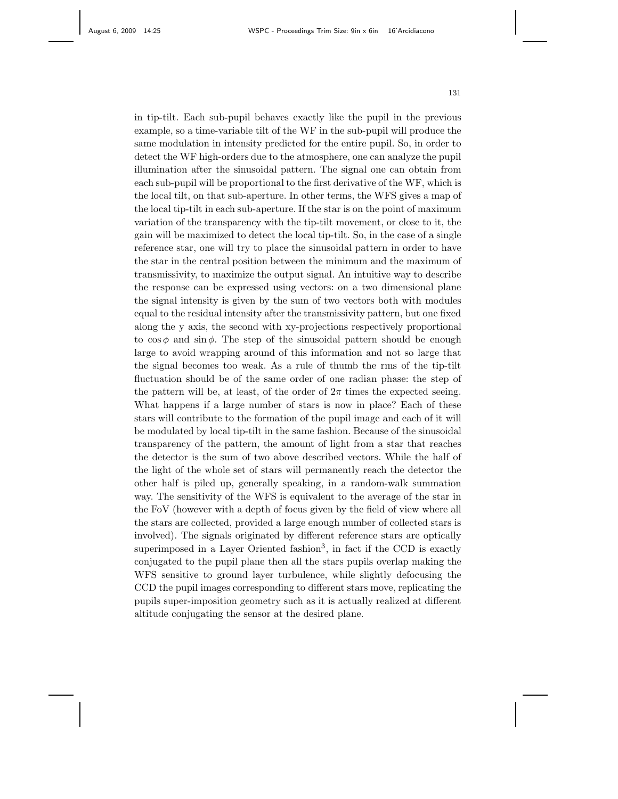in tip-tilt. Each sub-pupil behaves exactly like the pupil in the previous example, so a time-variable tilt of the WF in the sub-pupil will produce the same modulation in intensity predicted for the entire pupil. So, in order to detect the WF high-orders due to the atmosphere, one can analyze the pupil illumination after the sinusoidal pattern. The signal one can obtain from each sub-pupil will be proportional to the first derivative of the WF, which is the local tilt, on that sub-aperture. In other terms, the WFS gives a map of the local tip-tilt in each sub-aperture. If the star is on the point of maximum variation of the transparency with the tip-tilt movement, or close to it, the gain will be maximized to detect the local tip-tilt. So, in the case of a single reference star, one will try to place the sinusoidal pattern in order to have the star in the central position between the minimum and the maximum of transmissivity, to maximize the output signal. An intuitive way to describe the response can be expressed using vectors: on a two dimensional plane the signal intensity is given by the sum of two vectors both with modules equal to the residual intensity after the transmissivity pattern, but one fixed along the y axis, the second with xy-projections respectively proportional to  $\cos \phi$  and  $\sin \phi$ . The step of the sinusoidal pattern should be enough large to avoid wrapping around of this information and not so large that the signal becomes too weak. As a rule of thumb the rms of the tip-tilt fluctuation should be of the same order of one radian phase: the step of the pattern will be, at least, of the order of  $2\pi$  times the expected seeing. What happens if a large number of stars is now in place? Each of these stars will contribute to the formation of the pupil image and each of it will be modulated by local tip-tilt in the same fashion. Because of the sinusoidal transparency of the pattern, the amount of light from a star that reaches the detector is the sum of two above described vectors. While the half of the light of the whole set of stars will permanently reach the detector the other half is piled up, generally speaking, in a random-walk summation way. The sensitivity of the WFS is equivalent to the average of the star in the FoV (however with a depth of focus given by the field of view where all the stars are collected, provided a large enough number of collected stars is involved). The signals originated by different reference stars are optically

superimposed in a Layer Oriented fashion<sup>3</sup>, in fact if the CCD is exactly conjugated to the pupil plane then all the stars pupils overlap making the WFS sensitive to ground layer turbulence, while slightly defocusing the CCD the pupil images corresponding to different stars move, replicating the pupils super-imposition geometry such as it is actually realized at different altitude conjugating the sensor at the desired plane.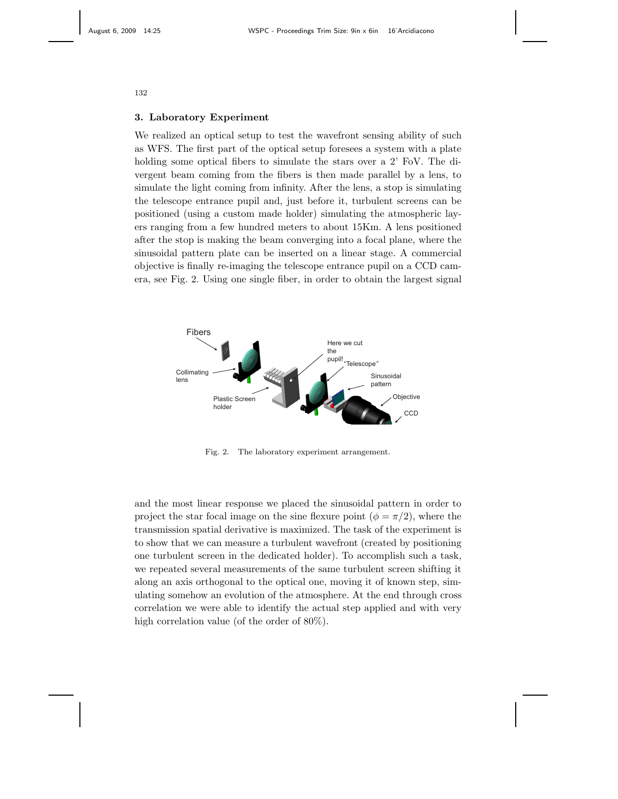#### **3. Laboratory Experiment**

We realized an optical setup to test the wavefront sensing ability of such as WFS. The first part of the optical setup foresees a system with a plate holding some optical fibers to simulate the stars over a 2' FoV. The divergent beam coming from the fibers is then made parallel by a lens, to simulate the light coming from infinity. After the lens, a stop is simulating the telescope entrance pupil and, just before it, turbulent screens can be positioned (using a custom made holder) simulating the atmospheric layers ranging from a few hundred meters to about 15Km. A lens positioned after the stop is making the beam converging into a focal plane, where the sinusoidal pattern plate can be inserted on a linear stage. A commercial objective is finally re-imaging the telescope entrance pupil on a CCD camera, see Fig. 2. Using one single fiber, in order to obtain the largest signal



Fig. 2. The laboratory experiment arrangement.

and the most linear response we placed the sinusoidal pattern in order to project the star focal image on the sine flexure point  $(\phi = \pi/2)$ , where the transmission spatial derivative is maximized. The task of the experiment is to show that we can measure a turbulent wavefront (created by positioning one turbulent screen in the dedicated holder). To accomplish such a task, we repeated several measurements of the same turbulent screen shifting it along an axis orthogonal to the optical one, moving it of known step, simulating somehow an evolution of the atmosphere. At the end through cross correlation we were able to identify the actual step applied and with very high correlation value (of the order of  $80\%$ ).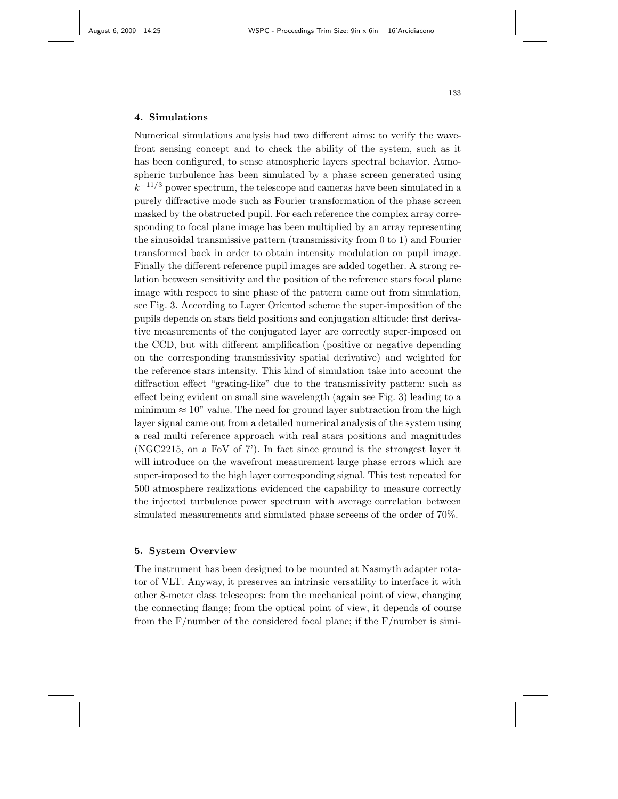# **4. Simulations**

Numerical simulations analysis had two different aims: to verify the wavefront sensing concept and to check the ability of the system, such as it has been configured, to sense atmospheric layers spectral behavior. Atmospheric turbulence has been simulated by a phase screen generated using k*−*11*/*<sup>3</sup> power spectrum, the telescope and cameras have been simulated in a purely diffractive mode such as Fourier transformation of the phase screen masked by the obstructed pupil. For each reference the complex array corresponding to focal plane image has been multiplied by an array representing the sinusoidal transmissive pattern (transmissivity from 0 to 1) and Fourier transformed back in order to obtain intensity modulation on pupil image. Finally the different reference pupil images are added together. A strong relation between sensitivity and the position of the reference stars focal plane image with respect to sine phase of the pattern came out from simulation, see Fig. 3. According to Layer Oriented scheme the super-imposition of the pupils depends on stars field positions and conjugation altitude: first derivative measurements of the conjugated layer are correctly super-imposed on the CCD, but with different amplification (positive or negative depending on the corresponding transmissivity spatial derivative) and weighted for the reference stars intensity. This kind of simulation take into account the diffraction effect "grating-like" due to the transmissivity pattern: such as effect being evident on small sine wavelength (again see Fig. 3) leading to a minimum  $\approx 10$ " value. The need for ground layer subtraction from the high layer signal came out from a detailed numerical analysis of the system using a real multi reference approach with real stars positions and magnitudes (NGC2215, on a FoV of 7'). In fact since ground is the strongest layer it will introduce on the wavefront measurement large phase errors which are super-imposed to the high layer corresponding signal. This test repeated for 500 atmosphere realizations evidenced the capability to measure correctly the injected turbulence power spectrum with average correlation between

simulated measurements and simulated phase screens of the order of 70%.

# **5. System Overview**

The instrument has been designed to be mounted at Nasmyth adapter rotator of VLT. Anyway, it preserves an intrinsic versatility to interface it with other 8-meter class telescopes: from the mechanical point of view, changing the connecting flange; from the optical point of view, it depends of course from the  $F/$ number of the considered focal plane; if the  $F/$ number is simi-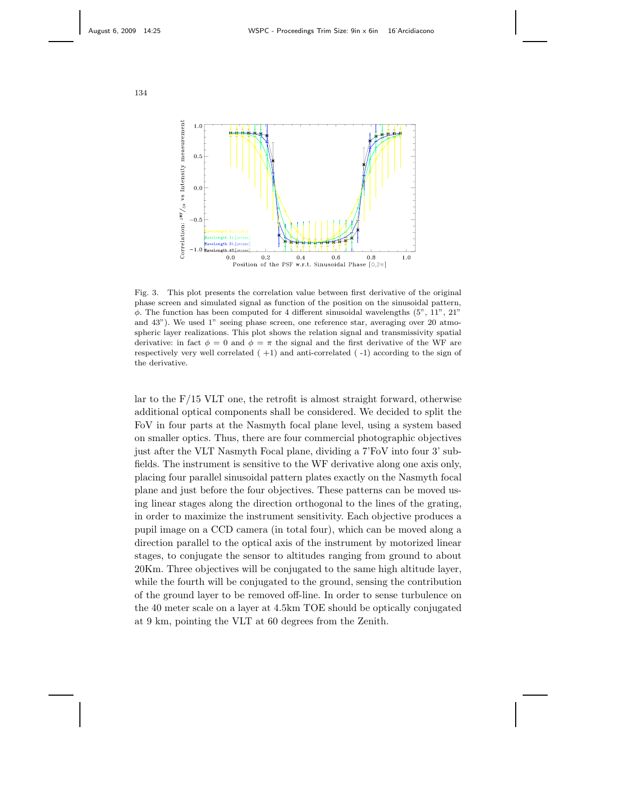

Fig. 3. This plot presents the correlation value between first derivative of the original phase screen and simulated signal as function of the position on the sinusoidal pattern,  $\phi$ . The function has been computed for 4 different sinusoidal wavelengths  $(5", 11", 21"$ and 43"). We used 1" seeing phase screen, one reference star, averaging over 20 atmospheric layer realizations. This plot shows the relation signal and transmissivity spatial derivative: in fact  $\phi = 0$  and  $\phi = \pi$  the signal and the first derivative of the WF are respectively very well correlated  $( +1)$  and anti-correlated  $(-1)$  according to the sign of the derivative.

lar to the F/15 VLT one, the retrofit is almost straight forward, otherwise additional optical components shall be considered. We decided to split the FoV in four parts at the Nasmyth focal plane level, using a system based on smaller optics. Thus, there are four commercial photographic objectives just after the VLT Nasmyth Focal plane, dividing a 7'FoV into four 3' subfields. The instrument is sensitive to the WF derivative along one axis only, placing four parallel sinusoidal pattern plates exactly on the Nasmyth focal plane and just before the four objectives. These patterns can be moved using linear stages along the direction orthogonal to the lines of the grating, in order to maximize the instrument sensitivity. Each objective produces a pupil image on a CCD camera (in total four), which can be moved along a direction parallel to the optical axis of the instrument by motorized linear stages, to conjugate the sensor to altitudes ranging from ground to about 20Km. Three objectives will be conjugated to the same high altitude layer, while the fourth will be conjugated to the ground, sensing the contribution of the ground layer to be removed off-line. In order to sense turbulence on the 40 meter scale on a layer at 4.5km TOE should be optically conjugated at 9 km, pointing the VLT at 60 degrees from the Zenith.